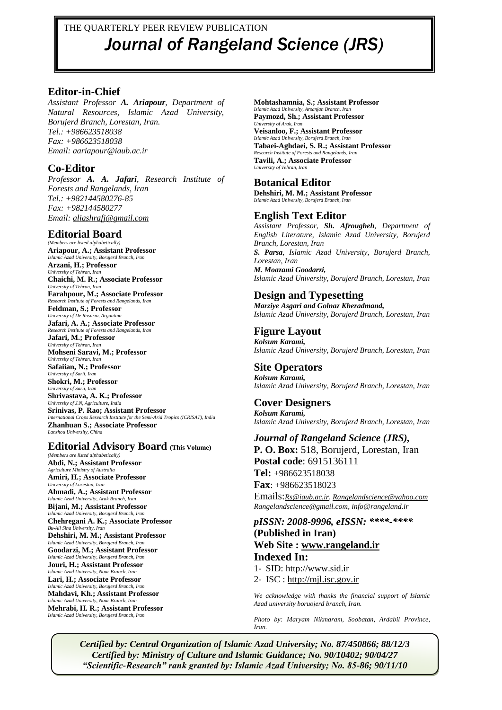# THE QUARTERLY PEER REVIEW PUBLICATION *Journal of Rangeland Science (JRS)*

### **Editor-in-Chief**

*Assistant Professor A. Ariapour, Department of Natural Resources, Islamic Azad University, Borujerd Branch, Lorestan, Iran. Tel.: +986623518038 Fax: +986623518038 Email: [aariapour@iaub.ac.ir](mailto:aariapour@iaub.ac.ir)*

### **Co-Editor**

*Professor A. A. Jafari, Research Institute of Forests and Rangelands, Iran Tel.: +982144580276-85 Fax: +982144580277 Email: [aliashrafj@gmail.com](mailto:aliashrafj@gmail.com)*

### **Editorial Board**

*(Members are listed alphabetically)* **Ariapour, A.; Assistant Professor** *Islamic Azad University, Borujerd Branch, Iran* **Arzani, H.; Professor** *University of Tehran, Iran* **Chaichi, M. R.; Associate Professor** *University of Tehran, Iran* **Farahpour, M.; Associate Professor** *Research Institute of Forests and Rangelands, Iran* **Feldman, S.; Professor** *University of De Rosario, Argantina* **Jafari, A. A.; Associate Professor** *Research Institute of Forests and Rangelands, Iran* **Jafari, M.; Professor** *University of Tehran, Iran* **Mohseni Saravi, M.; Professor** *University* of Tehran, I. **Safaiian, N.; Professor** *University of Sarii, Iran* **Shokri, M.; Professor** *University of Sarii, Iran* **Shrivastava, A. K.; Professor** *University of J.N, Agriculture, India* **Srinivas, P. Rao; Assistant Professor** *International Crops Research Institute for the Semi-Arid Tropics (ICRISAT), India* **Zhanhuan S.; Associate Professor** *Lanzhou University, China*

### **Editorial Advisory Board (This Volume)**

*(Members are listed alphabetically)* **Abdi, N.; Assistant Professor** *Agriculture Ministry of Australia*  **Amiri, H.; Associate Professor** *University of Lorestan, Iran* **Ahmadi, A.; Assistant Professor** *Islamic Azad University, Arak Branch, Iran* **Bijani, M.; Assistant Professor** *Islamic Azad University, Borujerd Branch, Iran* **Chehregani A. K.; Associate Professor** *Bu-Ali Sina University, Iran* **Dehshiri, M. M.; Assistant Professor** *Islamic Azad University, Borujerd Branch, Iran* **Goodarzi, M.; Assistant Professor** *Islamic Azad University, Borujerd Branch, Iran* **Jouri, H.; Assistant Professor** *Islamic Azad University, Nour Branch, Iran* **Lari, H.; Associate Professor** *Islamic Azad University, Borujerd Branch, Iran* **Mahdavi, Kh.; Assistant Professor** *Islamic Azad University, Nour Branch, Iran* **Mehrabi, H. R.; Assistant Professor** *Islamic Azad University, Borujerd Branch, Iran*

**Mohtashamnia, S.; Assistant Professor** *Islamic Azad University, Arsanjan Branch, Iran* **Paymozd, Sh.; Assistant Professor** *University of Arak, Ira* 

**Veisanloo, F.; Assistant Professor** *Islamic Azad University, Borujerd Branch, Iran*

**Tabaei-Aghdaei, S. R.; Assistant Professor** *Research Institute of Forests and Rangelands, Iran*

**Tavili, A.; Associate Professor**  *University of Tehran, Iran*

## **Botanical Editor**

**Dehshiri, M. M.; Assistant Professor** *Islamic Azad University, Borujerd Branch, Iran*

## **English Text Editor**

*Assistant Professor, Sh. Afrougheh, Department of English Literature, Islamic Azad University, Borujerd Branch, Lorestan, Iran S. Parsa, Islamic Azad University, Borujerd Branch, Lorestan, Iran M. Moazami Goodarzi, Islamic Azad University, Borujerd Branch, Lorestan, Iran*

# **Design and Typesetting**

*Marziye Asgari and Golnaz Kheradmand, Islamic Azad University, Borujerd Branch, Lorestan, Iran*

#### **Figure Layout** *Kolsum Karami,*

*Islamic Azad University, Borujerd Branch, Lorestan, Iran*

## **Site Operators**

*Kolsum Karami, Islamic Azad University, Borujerd Branch, Lorestan, Iran*

### **Cover Designers**

*Kolsum Karami, Islamic Azad University, Borujerd Branch, Lorestan, Iran*

### *Journal of Rangeland Science (JRS),*

**P. O. Box:** 518, Borujerd, Lorestan, Iran **Postal code**: 6915136111 **Tel:** +986623518038 **Fax**: +986623518023 Emails:*[Rs@iaub.ac.ir,](mailto:Rs@iaub.ac.ir) [Rangelandscience@yahoo.com](mailto:Rangelandscience@yahoo.com) [Rangelandscience@gmail.com,](mailto:Rangelandscience@gmail.com) [info@rangeland.ir](mailto:info@rangeland.ir)*

### *pISSN: 2008-9996, eISSN: \*\*\*\*-\*\*\*\** **(Published in Iran) Web Site : [www.rangeland.ir](http://www.rangeland.ir/) Indexed In:**

1- SID: [http://www.sid.ir](http://www.sid.ir/)

2- ISC : [http://mjl.isc.gov.ir](http://mjl.isc.gov.ir/)

*We acknowledge with thanks the financial support of Islamic Azad university boruojerd branch, Iran.*

*Photo by: Maryam Nikmaram, Soobatan, Ardabil Province, Iran.*

*Certified by: Central Organization of Islamic Azad University; No. 87/450866; 88/12/3 Certified by: Ministry of Culture and Islamic Guidance; No. 90/10402; 90/04/27 "Scientific-Research" rank granted by: Islamic Azad University; No. 85-86; 90/11/10*